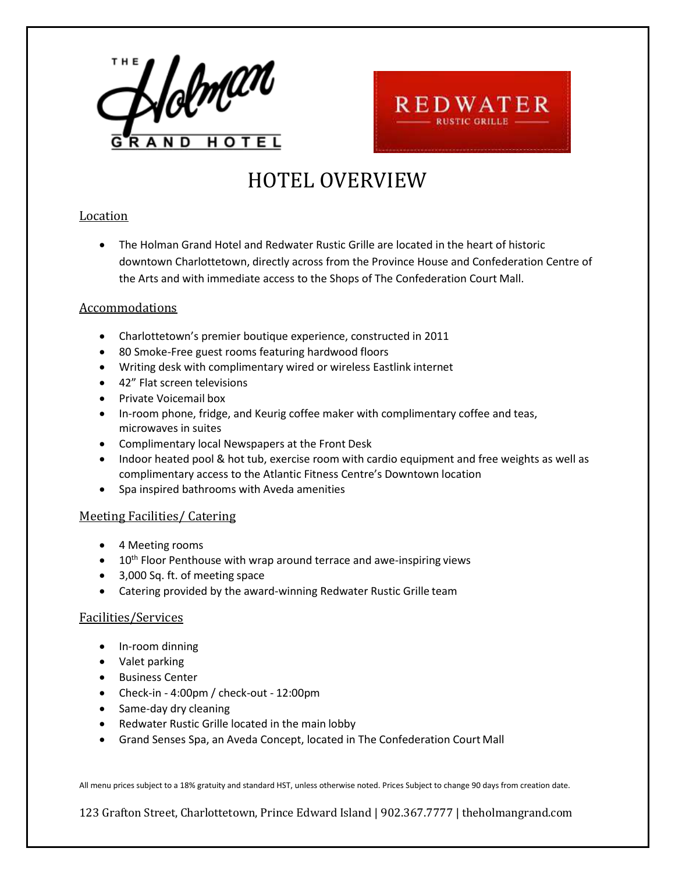



# HOTEL OVERVIEW

### **Location**

• The Holman Grand Hotel and Redwater Rustic Grille are located in the heart of historic downtown Charlottetown, directly across from the Province House and Confederation Centre of the Arts and with immediate access to the Shops of The Confederation Court Mall.

### Accommodations

- Charlottetown's premier boutique experience, constructed in 2011
- 80 Smoke-Free guest rooms featuring hardwood floors
- Writing desk with complimentary wired or wireless Eastlink internet
- 42" Flat screen televisions
- Private Voicemail box
- In-room phone, fridge, and Keurig coffee maker with complimentary coffee and teas, microwaves in suites
- Complimentary local Newspapers at the Front Desk
- Indoor heated pool & hot tub, exercise room with cardio equipment and free weights as well as complimentary access to the Atlantic Fitness Centre's Downtown location
- Spa inspired bathrooms with Aveda amenities

### Meeting Facilities/ Catering

- 4 Meeting rooms
- $\bullet$  10<sup>th</sup> Floor Penthouse with wrap around terrace and awe-inspiring views
- 3,000 Sq. ft. of meeting space
- Catering provided by the award-winning Redwater Rustic Grille team

### Facilities/Services

- In-room dinning
- Valet parking
- Business Center
- Check-in 4:00pm / check-out 12:00pm
- Same-day dry cleaning
- Redwater Rustic Grille located in the main lobby
- Grand Senses Spa, an Aveda Concept, located in The Confederation Court Mall

All menu prices subject to a 18% gratuity and standard HST, unless otherwise noted. Prices Subject to change 90 days from creation date.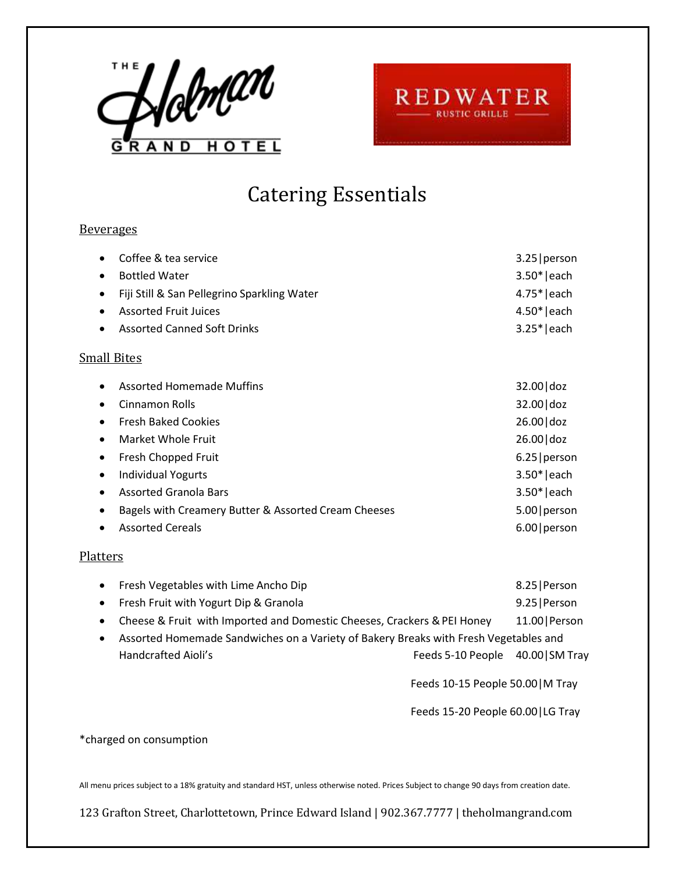



## Catering Essentials

### **Beverages**

| Coffee & tea service<br>$\bullet$                        | $3.25$   person |
|----------------------------------------------------------|-----------------|
| <b>Bottled Water</b><br>$\bullet$                        | $3.50* each$    |
| Fiji Still & San Pellegrino Sparkling Water<br>$\bullet$ | $4.75* each$    |
| <b>Assorted Fruit Juices</b><br>$\bullet$                | $4.50* each$    |
| <b>Assorted Canned Soft Drinks</b><br>$\bullet$          | $3.25* each$    |
| <b>Small Bites</b>                                       |                 |
| <b>Assorted Homemade Muffins</b><br>$\bullet$            | 32.00 doz       |
| Cinnamon Rolls<br>$\bullet$                              | 32.00 doz       |
| <b>Fresh Baked Cookies</b>                               | 26.00 doz       |
| Market Whole Fruit<br>٠                                  | 26.00 doz       |
| Fresh Chopped Fruit<br>$\bullet$                         | $6.25$   person |
| <b>Individual Yogurts</b>                                | $3.50* each$    |
| <b>Assorted Granola Bars</b>                             | $3.50* each$    |
| Bagels with Creamery Butter & Assorted Cream Cheeses     | 5.00   person   |
| <b>Assorted Cereals</b>                                  | 6.00   person   |

## **Platters**

|           | • Fresh Vegetables with Lime Ancho Dip                                               |                                 | 8.25   Person  |
|-----------|--------------------------------------------------------------------------------------|---------------------------------|----------------|
|           | • Fresh Fruit with Yogurt Dip & Granola                                              |                                 | 9.25   Person  |
| $\bullet$ | Cheese & Fruit with Imported and Domestic Cheeses, Crackers & PEI Honey              |                                 | 11.00   Person |
| $\bullet$ | Assorted Homemade Sandwiches on a Variety of Bakery Breaks with Fresh Vegetables and |                                 |                |
|           | Handcrafted Aioli's                                                                  | Feeds 5-10 People 40.00 SM Tray |                |
|           |                                                                                      |                                 |                |

Feeds 10-15 People 50.00|M Tray

Feeds 15-20 People 60.00|LG Tray

#### \*charged on consumption

All menu prices subject to a 18% gratuity and standard HST, unless otherwise noted. Prices Subject to change 90 days from creation date.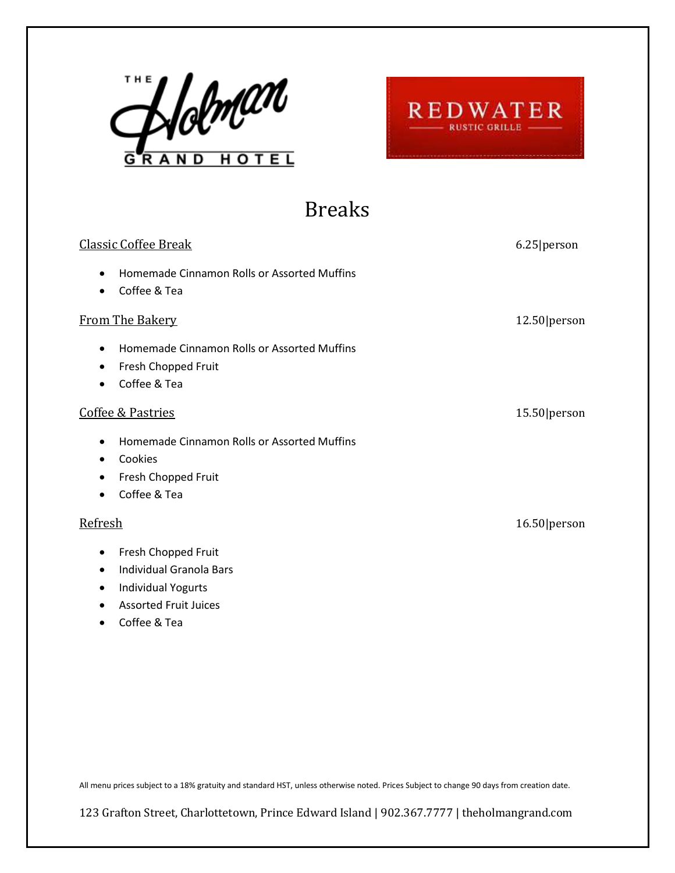



## Breaks

| <b>Classic Coffee Break</b>                                                                                                                                            | 6.25 person    |
|------------------------------------------------------------------------------------------------------------------------------------------------------------------------|----------------|
| Homemade Cinnamon Rolls or Assorted Muffins<br>$\bullet$<br>Coffee & Tea<br>$\bullet$                                                                                  |                |
| <b>From The Bakery</b>                                                                                                                                                 | $12.50$ person |
| Homemade Cinnamon Rolls or Assorted Muffins<br>$\bullet$<br>Fresh Chopped Fruit<br>$\bullet$<br>Coffee & Tea                                                           |                |
| Coffee & Pastries                                                                                                                                                      | 15.50 person   |
| Homemade Cinnamon Rolls or Assorted Muffins<br>$\bullet$<br>Cookies<br>$\bullet$<br>Fresh Chopped Fruit<br>٠<br>Coffee & Tea                                           |                |
| Refresh                                                                                                                                                                | 16.50 person   |
| Fresh Chopped Fruit<br>$\bullet$<br><b>Individual Granola Bars</b><br>$\bullet$<br><b>Individual Yogurts</b><br>٠<br><b>Assorted Fruit Juices</b><br>Coffee & Tea<br>٠ |                |

All menu prices subject to a 18% gratuity and standard HST, unless otherwise noted. Prices Subject to change 90 days from creation date.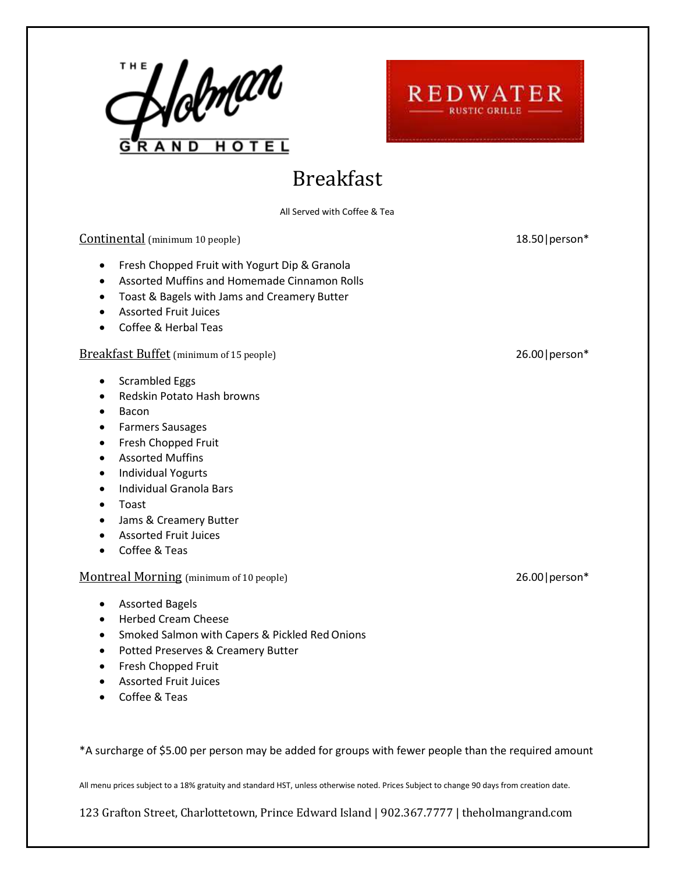



## Breakfast

All Served with Coffee & Tea

Continental (minimum 10 people) 18.50|person\*

### • Fresh Chopped Fruit with Yogurt Dip & Granola

- Assorted Muffins and Homemade Cinnamon Rolls
- Toast & Bagels with Jams and Creamery Butter
- Assorted Fruit Juices
- Coffee & Herbal Teas

#### Breakfast Buffet (minimum of 15 people) 26.00 | person\*

- Scrambled Eggs
- Redskin Potato Hash browns
- Bacon
- Farmers Sausages
- Fresh Chopped Fruit
- Assorted Muffins
- Individual Yogurts
- Individual Granola Bars
- Toast
- Jams & Creamery Butter
- Assorted Fruit Juices
- Coffee & Teas

#### Montreal Morning (minimum of 10 people) 26.00 | person\*

- Assorted Bagels
- Herbed Cream Cheese
- Smoked Salmon with Capers & Pickled RedOnions
- Potted Preserves & Creamery Butter
- Fresh Chopped Fruit
- Assorted Fruit Juices
- Coffee & Teas

\*A surcharge of \$5.00 per person may be added for groups with fewer people than the required amount

All menu prices subject to a 18% gratuity and standard HST, unless otherwise noted. Prices Subject to change 90 days from creation date.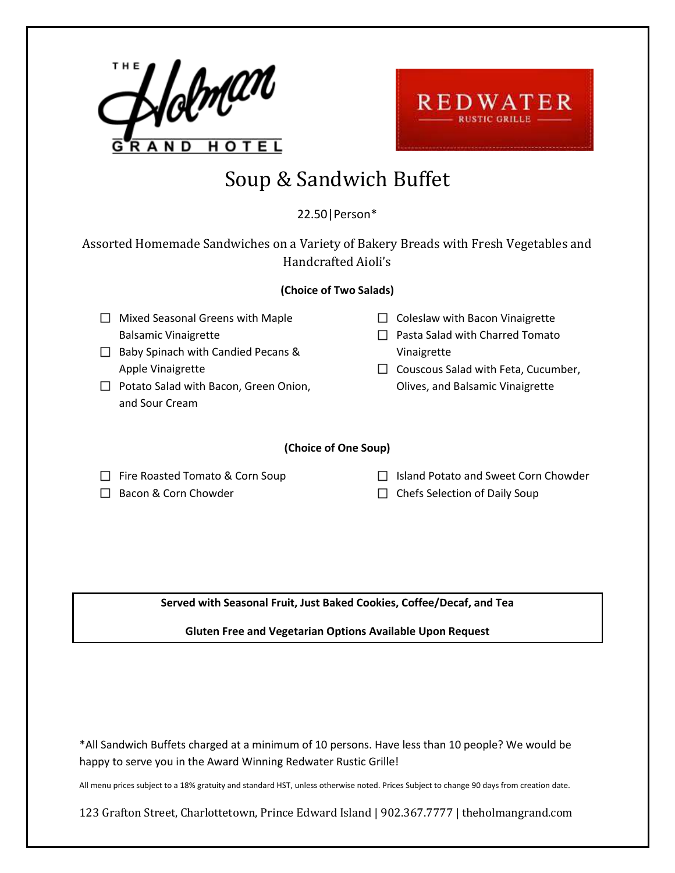



## Soup & Sandwich Buffet

## 22.50|Person\*

Assorted Homemade Sandwiches on a Variety of Bakery Breads with Fresh Vegetables and Handcrafted Aioli's

### **(Choice of Two Salads)**

- $\Box$  Mixed Seasonal Greens with Maple Balsamic Vinaigrette
- $\Box$  Baby Spinach with Candied Pecans & Apple Vinaigrette
- $\Box$  Potato Salad with Bacon, Green Onion, and Sour Cream
- $\Box$  Coleslaw with Bacon Vinaigrette
- $\Box$  Pasta Salad with Charred Tomato Vinaigrette
- $\Box$  Couscous Salad with Feta, Cucumber, Olives, and Balsamic Vinaigrette

#### **(Choice of One Soup)**

 $\Box$  Fire Roasted Tomato & Corn Soup

 $\Box$  Bacon & Corn Chowder

 $\Box$  Island Potato and Sweet Corn Chowder  $\Box$  Chefs Selection of Daily Soup

**Served with Seasonal Fruit, Just Baked Cookies, Coffee/Decaf, and Tea**

**Gluten Free and Vegetarian Options Available Upon Request**

\*All Sandwich Buffets charged at a minimum of 10 persons. Have less than 10 people? We would be happy to serve you in the Award Winning Redwater Rustic Grille!

All menu prices subject to a 18% gratuity and standard HST, unless otherwise noted. Prices Subject to change 90 days from creation date.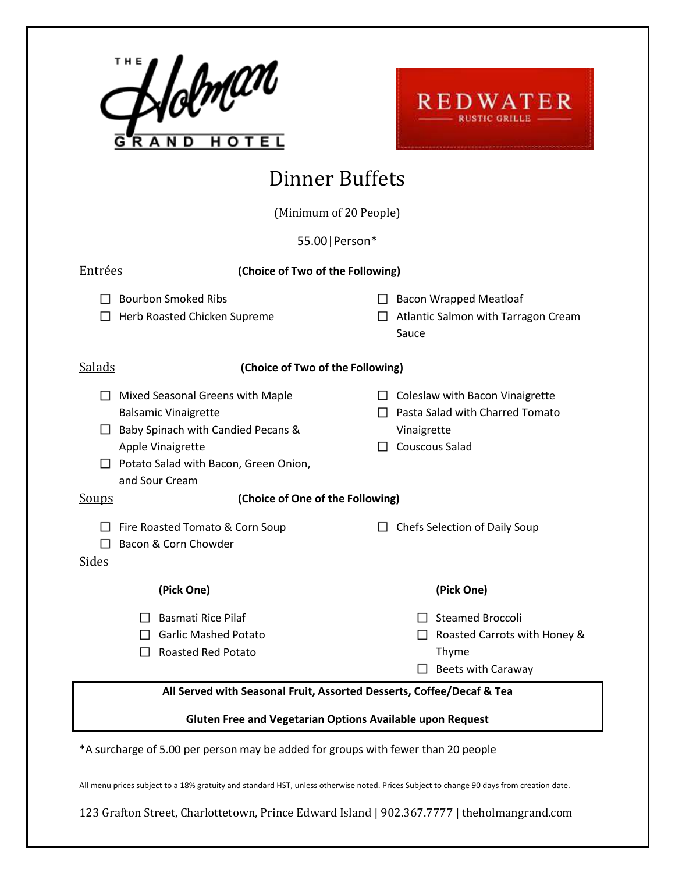



# Dinner Buffets

(Minimum of 20 People)

55.00|Person\*

| Entrées                                                                            | (Choice of Two of the Following)                                                                                |  |                                                                                                            |
|------------------------------------------------------------------------------------|-----------------------------------------------------------------------------------------------------------------|--|------------------------------------------------------------------------------------------------------------|
|                                                                                    | <b>Bourbon Smoked Ribs</b><br>Herb Roasted Chicken Supreme                                                      |  | <b>Bacon Wrapped Meatloaf</b><br>Atlantic Salmon with Tarragon Cream<br>Sauce                              |
| <b>Salads</b>                                                                      | (Choice of Two of the Following)                                                                                |  |                                                                                                            |
| $\mathsf{L}$<br><b>Balsamic Vinaigrette</b><br>Apple Vinaigrette<br>and Sour Cream | Mixed Seasonal Greens with Maple<br>Baby Spinach with Candied Pecans &<br>Potato Salad with Bacon, Green Onion, |  | Coleslaw with Bacon Vinaigrette<br>Pasta Salad with Charred Tomato<br>Vinaigrette<br><b>Couscous Salad</b> |
| <b>Soups</b>                                                                       | (Choice of One of the Following)                                                                                |  |                                                                                                            |
| Sides                                                                              | Fire Roasted Tomato & Corn Soup<br>Bacon & Corn Chowder                                                         |  | Chefs Selection of Daily Soup                                                                              |
|                                                                                    | (Pick One)                                                                                                      |  | (Pick One)                                                                                                 |
|                                                                                    | <b>Basmati Rice Pilaf</b><br><b>Garlic Mashed Potato</b><br><b>Roasted Red Potato</b>                           |  | <b>Steamed Broccoli</b><br>Roasted Carrots with Honey &<br>$\Box$<br>Thyme<br><b>Beets with Caraway</b>    |
| All Served with Seasonal Fruit, Assorted Desserts, Coffee/Decaf & Tea              |                                                                                                                 |  |                                                                                                            |
| Gluten Free and Vegetarian Options Available upon Request                          |                                                                                                                 |  |                                                                                                            |
| *A surcharge of 5.00 per person may be added for groups with fewer than 20 people  |                                                                                                                 |  |                                                                                                            |

All menu prices subject to a 18% gratuity and standard HST, unless otherwise noted. Prices Subject to change 90 days from creation date.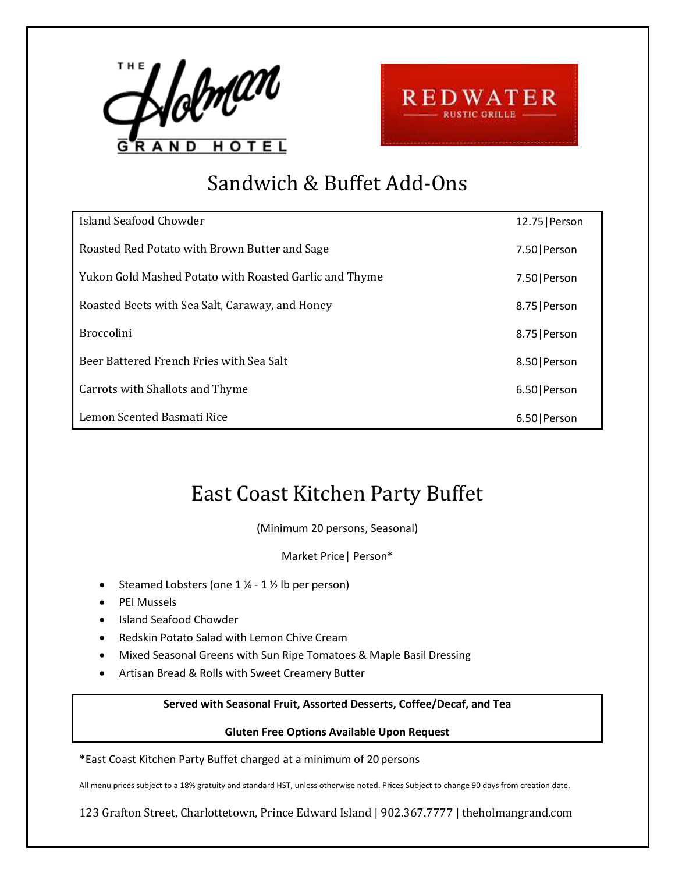



# Sandwich & Buffet Add-Ons

| Island Seafood Chowder                                 | 12.75   Person |
|--------------------------------------------------------|----------------|
| Roasted Red Potato with Brown Butter and Sage          | 7.50   Person  |
| Yukon Gold Mashed Potato with Roasted Garlic and Thyme | 7.50   Person  |
| Roasted Beets with Sea Salt, Caraway, and Honey        | 8.75   Person  |
| <b>Broccolini</b>                                      | 8.75   Person  |
| Beer Battered French Fries with Sea Salt               | 8.50   Person  |
| Carrots with Shallots and Thyme                        | 6.50   Person  |
| Lemon Scented Basmati Rice                             | 6.50   Person  |

## East Coast Kitchen Party Buffet

(Minimum 20 persons, Seasonal)

Market Price| Person\*

- Steamed Lobsters (one  $1\frac{1}{2}$   $1\frac{1}{2}$  lb per person)
- PEI Mussels
- Island Seafood Chowder
- Redskin Potato Salad with Lemon Chive Cream
- Mixed Seasonal Greens with Sun Ripe Tomatoes & Maple Basil Dressing
- Artisan Bread & Rolls with Sweet Creamery Butter

### **Served with Seasonal Fruit, Assorted Desserts, Coffee/Decaf, and Tea**

#### **Gluten Free Options Available Upon Request**

\*East Coast Kitchen Party Buffet charged at a minimum of 20 persons

All menu prices subject to a 18% gratuity and standard HST, unless otherwise noted. Prices Subject to change 90 days from creation date.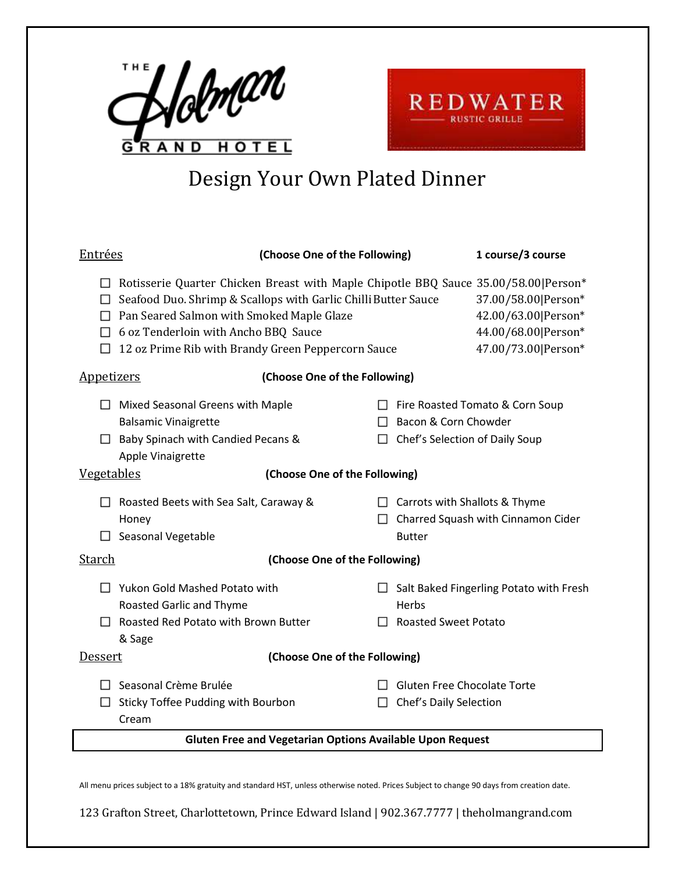



# Design Your Own Plated Dinner

| <u>Entrées</u>                                                                                                                                                                                             | (Choose One of the Following)                                                                                        |                                                              | 1 course/3 course                                                                        |
|------------------------------------------------------------------------------------------------------------------------------------------------------------------------------------------------------------|----------------------------------------------------------------------------------------------------------------------|--------------------------------------------------------------|------------------------------------------------------------------------------------------|
| Rotisserie Quarter Chicken Breast with Maple Chipotle BBQ Sauce 35.00/58.00   Person*<br>□<br>Pan Seared Salmon with Smoked Maple Glaze<br>$\Box$<br>$\Box$ 6 oz Tenderloin with Ancho BBQ Sauce<br>$\Box$ | Seafood Duo. Shrimp & Scallops with Garlic Chilli Butter Sauce<br>12 oz Prime Rib with Brandy Green Peppercorn Sauce |                                                              | 37.00/58.00 Person*<br>42.00/63.00 Person*<br>44.00/68.00 Person*<br>47.00/73.00 Person* |
| <b>Appetizers</b>                                                                                                                                                                                          | (Choose One of the Following)                                                                                        |                                                              |                                                                                          |
| Mixed Seasonal Greens with Maple<br><b>Balsamic Vinaigrette</b><br>$\Box$ Baby Spinach with Candied Pecans &<br>Apple Vinaigrette                                                                          | $\mathsf{L}$<br>П                                                                                                    | Bacon & Corn Chowder<br>Chef's Selection of Daily Soup       | $\Box$ Fire Roasted Tomato & Corn Soup                                                   |
| <b>Vegetables</b>                                                                                                                                                                                          | (Choose One of the Following)                                                                                        |                                                              |                                                                                          |
| Roasted Beets with Sea Salt, Caraway &<br>Honey<br>Seasonal Vegetable                                                                                                                                      |                                                                                                                      | $\Box$ Carrots with Shallots & Thyme<br><b>Butter</b>        | $\Box$ Charred Squash with Cinnamon Cider                                                |
| <u>Starch</u><br>(Choose One of the Following)                                                                                                                                                             |                                                                                                                      |                                                              |                                                                                          |
| <b>Yukon Gold Mashed Potato with</b><br>П<br><b>Roasted Garlic and Thyme</b><br>Roasted Red Potato with Brown Butter<br>П                                                                                  | П                                                                                                                    | Herbs<br><b>Roasted Sweet Potato</b>                         | $\Box$ Salt Baked Fingerling Potato with Fresh                                           |
| & Sage<br>Dessert<br>(Choose One of the Following)                                                                                                                                                         |                                                                                                                      |                                                              |                                                                                          |
| Seasonal Crème Brulée<br>$\mathsf{L}$<br>Sticky Toffee Pudding with Bourbon<br>H<br>Cream                                                                                                                  | $\perp$                                                                                                              | <b>Gluten Free Chocolate Torte</b><br>Chef's Daily Selection |                                                                                          |
| <b>Gluten Free and Vegetarian Options Available Upon Request</b>                                                                                                                                           |                                                                                                                      |                                                              |                                                                                          |

All menu prices subject to a 18% gratuity and standard HST, unless otherwise noted. Prices Subject to change 90 days from creation date.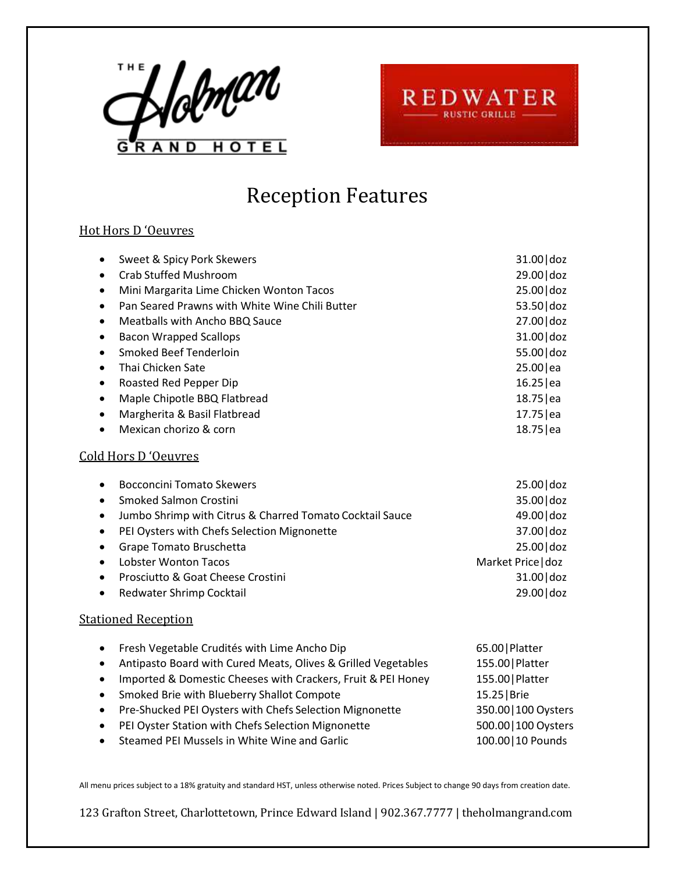



## Reception Features

### Hot Hors D 'Oeuvres

| Sweet & Spicy Pork Skewers                                                 | 31.00 doz            |
|----------------------------------------------------------------------------|----------------------|
| <b>Crab Stuffed Mushroom</b>                                               | 29.00 doz            |
| Mini Margarita Lime Chicken Wonton Tacos<br>$\bullet$                      | 25.00 doz            |
| Pan Seared Prawns with White Wine Chili Butter<br>$\bullet$                | 53.50 doz            |
| Meatballs with Ancho BBQ Sauce<br>$\bullet$                                | 27.00 doz            |
| <b>Bacon Wrapped Scallops</b><br>$\bullet$                                 | 31.00 doz            |
| Smoked Beef Tenderloin<br>$\bullet$                                        | 55.00 doz            |
| Thai Chicken Sate<br>$\bullet$                                             | 25.00 ea             |
| Roasted Red Pepper Dip<br>$\bullet$                                        | $16.25$  ea          |
| Maple Chipotle BBQ Flatbread<br>$\bullet$                                  | 18.75   ea           |
| Margherita & Basil Flatbread<br>$\bullet$                                  | 17.75   ea           |
| Mexican chorizo & corn                                                     | 18.75   ea           |
| Cold Hors D'Oeuvres                                                        |                      |
| <b>Bocconcini Tomato Skewers</b>                                           | 25.00 doz            |
| Smoked Salmon Crostini<br>$\bullet$                                        | 35.00 doz            |
| Jumbo Shrimp with Citrus & Charred Tomato Cocktail Sauce<br>$\bullet$      | 49.00 doz            |
| PEI Oysters with Chefs Selection Mignonette<br>$\bullet$                   | 37.00 doz            |
| Grape Tomato Bruschetta<br>$\bullet$                                       | 25.00 doz            |
| <b>Lobster Wonton Tacos</b><br>$\bullet$                                   | Market Price   doz   |
| Prosciutto & Goat Cheese Crostini<br>$\bullet$                             | 31.00 doz            |
| Redwater Shrimp Cocktail<br>$\bullet$                                      | 29.00 doz            |
| <b>Stationed Reception</b>                                                 |                      |
| Fresh Vegetable Crudités with Lime Ancho Dip<br>٠                          | 65.00   Platter      |
| Antipasto Board with Cured Meats, Olives & Grilled Vegetables<br>$\bullet$ | 155.00   Platter     |
| Imported & Domestic Cheeses with Crackers, Fruit & PEI Honey<br>$\bullet$  | 155.00   Platter     |
| Smoked Brie with Blueberry Shallot Compote                                 | 15.25   Brie         |
| Pre-Shucked PEI Oysters with Chefs Selection Mignonette<br>$\bullet$       | 350.00   100 Oysters |
|                                                                            |                      |

- PEI Oyster Station with Chefs Selection Mignonette 500.00 | 100 Oysters
- Steamed PEI Mussels in White Wine and Garlic 100.00 10 Pounds

All menu prices subject to a 18% gratuity and standard HST, unless otherwise noted. Prices Subject to change 90 days from creation date.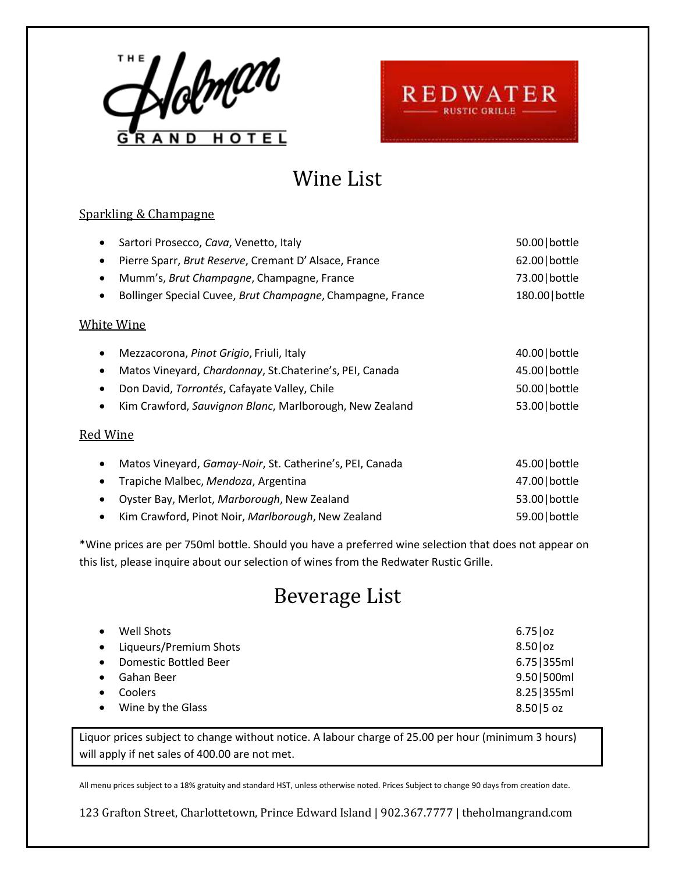



## Wine List

### Sparkling & Champagne

| Sartori Prosecco, Cava, Venetto, Italy<br>٠                             | 50.00 bottle   |
|-------------------------------------------------------------------------|----------------|
| Pierre Sparr, Brut Reserve, Cremant D'Alsace, France<br>$\bullet$       | 62.00   bottle |
| Mumm's, Brut Champagne, Champagne, France<br>$\bullet$                  | 73.00 bottle   |
| Bollinger Special Cuvee, Brut Champagne, Champagne, France<br>$\bullet$ | 180.00 bottle  |
| <b>White Wine</b>                                                       |                |
| Mezzacorona, Pinot Grigio, Friuli, Italy<br>$\bullet$                   | 40.00 bottle   |
| Matos Vineyard, Chardonnay, St.Chaterine's, PEI, Canada<br>$\bullet$    | 45.00 bottle   |
| Don David, Torrontés, Cafayate Valley, Chile<br>$\bullet$               | 50.00 bottle   |
| Kim Crawford, Sauvignon Blanc, Marlborough, New Zealand<br>$\bullet$    | 53.00 bottle   |
| Red Wine                                                                |                |
| Matos Vineyard, Gamay-Noir, St. Catherine's, PEI, Canada<br>$\bullet$   | 45.00 bottle   |
| Trapiche Malbec, Mendoza, Argentina<br>$\bullet$                        | 47.00 bottle   |
| Oyster Bay, Merlot, Marborough, New Zealand<br>$\bullet$                | 53.00 bottle   |
| Kim Crawford, Pinot Noir, Marlborough, New Zealand<br>٠                 | 59.00   bottle |

\*Wine prices are per 750ml bottle. Should you have a preferred wine selection that does not appear on this list, please inquire about our selection of wines from the Redwater Rustic Grille.

# Beverage List

| $\bullet$ | Well Shots               | $6.75$   oz  |
|-----------|--------------------------|--------------|
|           | • Liqueurs/Premium Shots | $8.50$   oz  |
|           | • Domestic Bottled Beer  | 6.75 355ml   |
|           | • Gahan Beer             | 9.50   500ml |
|           | • Coolers                | 8.25 355ml   |
|           | • Wine by the Glass      | $8.50 5$ oz  |

Liquor prices subject to change without notice. A labour charge of 25.00 per hour (minimum 3 hours) will apply if net sales of 400.00 are not met.

All menu prices subject to a 18% gratuity and standard HST, unless otherwise noted. Prices Subject to change 90 days from creation date.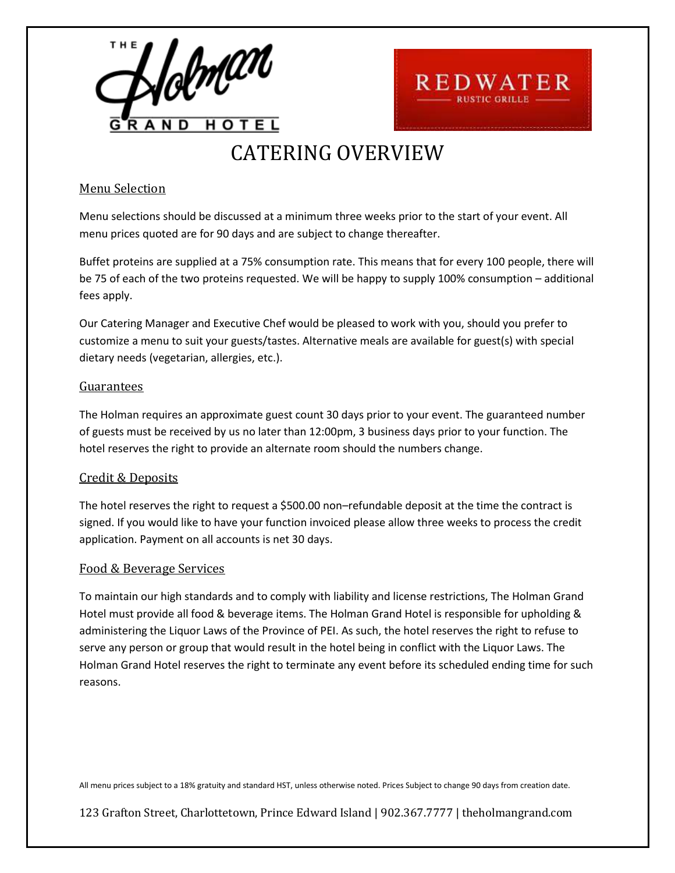

# CATERING OVERVIEW

**REDWATER** 

### Menu Selection

Menu selections should be discussed at a minimum three weeks prior to the start of your event. All menu prices quoted are for 90 days and are subject to change thereafter.

Buffet proteins are supplied at a 75% consumption rate. This means that for every 100 people, there will be 75 of each of the two proteins requested. We will be happy to supply 100% consumption – additional fees apply.

Our Catering Manager and Executive Chef would be pleased to work with you, should you prefer to customize a menu to suit your guests/tastes. Alternative meals are available for guest(s) with special dietary needs (vegetarian, allergies, etc.).

### Guarantees

The Holman requires an approximate guest count 30 days prior to your event. The guaranteed number of guests must be received by us no later than 12:00pm, 3 business days prior to your function. The hotel reserves the right to provide an alternate room should the numbers change.

### Credit & Deposits

The hotel reserves the right to request a \$500.00 non–refundable deposit at the time the contract is signed. If you would like to have your function invoiced please allow three weeks to process the credit application. Payment on all accounts is net 30 days.

### Food & Beverage Services

To maintain our high standards and to comply with liability and license restrictions, The Holman Grand Hotel must provide all food & beverage items. The Holman Grand Hotel is responsible for upholding & administering the Liquor Laws of the Province of PEI. As such, the hotel reserves the right to refuse to serve any person or group that would result in the hotel being in conflict with the Liquor Laws. The Holman Grand Hotel reserves the right to terminate any event before its scheduled ending time for such reasons.

All menu prices subject to a 18% gratuity and standard HST, unless otherwise noted. Prices Subject to change 90 days from creation date.